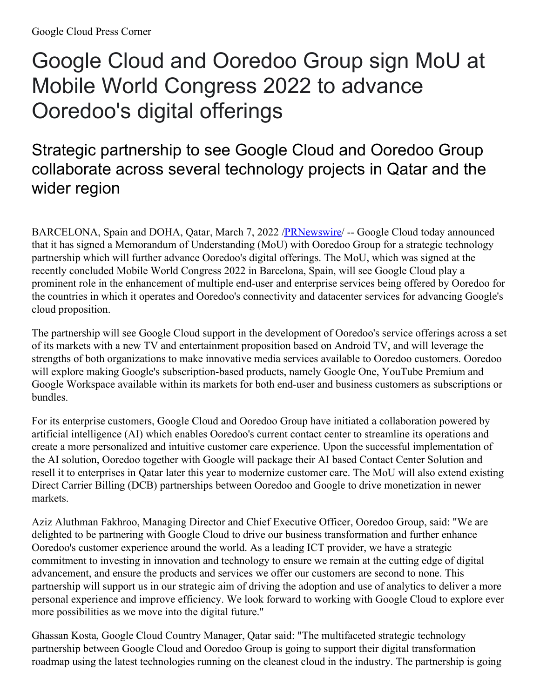## Google Cloud and Ooredoo Group sign MoU at Mobile World Congress 2022 to advance Ooredoo's digital offerings

## Strategic partnership to see Google Cloud and Ooredoo Group collaborate across several technology projects in Qatar and the wider region

BARCELONA, Spain and DOHA, Qatar, March 7, 2022 [/PRNewswire](http://www.prnewswire.com/)/ -- Google Cloud today announced that it has signed a Memorandum of Understanding (MoU) with Ooredoo Group for a strategic technology partnership which will further advance Ooredoo's digital offerings. The MoU, which was signed at the recently concluded Mobile World Congress 2022 in Barcelona, Spain, will see Google Cloud play a prominent role in the enhancement of multiple end-user and enterprise services being offered by Ooredoo for the countries in which it operates and Ooredoo's connectivity and datacenter services for advancing Google's cloud proposition.

The partnership will see Google Cloud support in the development of Ooredoo's service offerings across a set of its markets with a new TV and entertainment proposition based on Android TV, and will leverage the strengths of both organizations to make innovative media services available to Ooredoo customers. Ooredoo will explore making Google's subscription-based products, namely Google One, YouTube Premium and Google Workspace available within its markets for both end-user and business customers as subscriptions or bundles.

For its enterprise customers, Google Cloud and Ooredoo Group have initiated a collaboration powered by artificial intelligence (AI) which enables Ooredoo's current contact center to streamline its operations and create a more personalized and intuitive customer care experience. Upon the successful implementation of the AI solution, Ooredoo together with Google will package their AI based Contact Center Solution and resell it to enterprises in Qatar later this year to modernize customer care. The MoU will also extend existing Direct Carrier Billing (DCB) partnerships between Ooredoo and Google to drive monetization in newer markets.

Aziz Aluthman Fakhroo, Managing Director and Chief Executive Officer, Ooredoo Group, said: "We are delighted to be partnering with Google Cloud to drive our business transformation and further enhance Ooredoo's customer experience around the world. As a leading ICT provider, we have a strategic commitment to investing in innovation and technology to ensure we remain at the cutting edge of digital advancement, and ensure the products and services we offer our customers are second to none. This partnership will support us in our strategic aim of driving the adoption and use of analytics to deliver a more personal experience and improve efficiency. We look forward to working with Google Cloud to explore ever more possibilities as we move into the digital future."

Ghassan Kosta, Google Cloud Country Manager, Qatar said: "The multifaceted strategic technology partnership between Google Cloud and Ooredoo Group is going to support their digital transformation roadmap using the latest technologies running on the cleanest cloud in the industry. The partnership is going